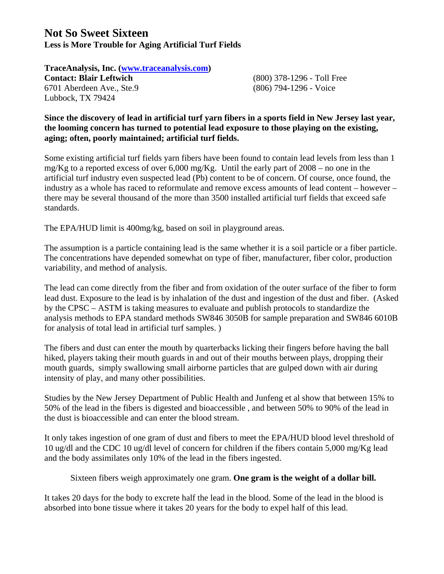## **Not So Sweet Sixteen Less is More Trouble for Aging Artificial Turf Fields**

**TraceAnalysis, Inc. (www.traceanalysis.com) Contact: Blair Leftwich** (800) 378-1296 - Toll Free 6701 Aberdeen Ave., Ste.9 (806) 794-1296 - Voice Lubbock, TX 79424

**Since the discovery of lead in artificial turf yarn fibers in a sports field in New Jersey last year, the looming concern has turned to potential lead exposure to those playing on the existing, aging; often, poorly maintained; artificial turf fields.** 

Some existing artificial turf fields yarn fibers have been found to contain lead levels from less than 1 mg/Kg to a reported excess of over  $6,000$  mg/Kg. Until the early part of  $2008 -$  no one in the artificial turf industry even suspected lead (Pb) content to be of concern. Of course, once found, the industry as a whole has raced to reformulate and remove excess amounts of lead content – however – there may be several thousand of the more than 3500 installed artificial turf fields that exceed safe standards.

The EPA/HUD limit is 400mg/kg, based on soil in playground areas.

The assumption is a particle containing lead is the same whether it is a soil particle or a fiber particle. The concentrations have depended somewhat on type of fiber, manufacturer, fiber color, production variability, and method of analysis.

The lead can come directly from the fiber and from oxidation of the outer surface of the fiber to form lead dust. Exposure to the lead is by inhalation of the dust and ingestion of the dust and fiber. (Asked by the CPSC – ASTM is taking measures to evaluate and publish protocols to standardize the analysis methods to EPA standard methods SW846 3050B for sample preparation and SW846 6010B for analysis of total lead in artificial turf samples. )

The fibers and dust can enter the mouth by quarterbacks licking their fingers before having the ball hiked, players taking their mouth guards in and out of their mouths between plays, dropping their mouth guards, simply swallowing small airborne particles that are gulped down with air during intensity of play, and many other possibilities.

Studies by the New Jersey Department of Public Health and Junfeng et al show that between 15% to 50% of the lead in the fibers is digested and bioaccessible , and between 50% to 90% of the lead in the dust is bioaccessible and can enter the blood stream.

It only takes ingestion of one gram of dust and fibers to meet the EPA/HUD blood level threshold of 10 ug/dl and the CDC 10 ug/dl level of concern for children if the fibers contain 5,000 mg/Kg lead and the body assimilates only 10% of the lead in the fibers ingested.

Sixteen fibers weigh approximately one gram. **One gram is the weight of a dollar bill.** 

It takes 20 days for the body to excrete half the lead in the blood. Some of the lead in the blood is absorbed into bone tissue where it takes 20 years for the body to expel half of this lead.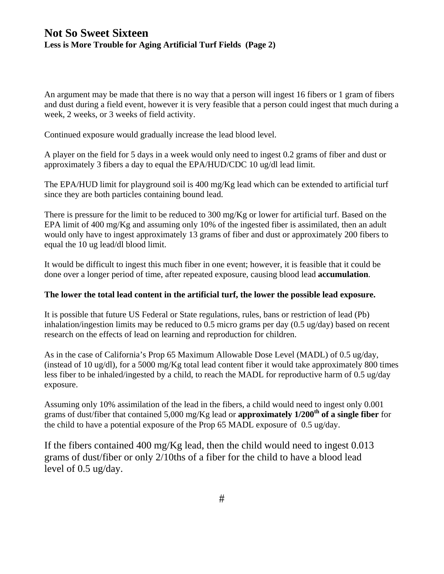## **Not So Sweet Sixteen Less is More Trouble for Aging Artificial Turf Fields (Page 2)**

An argument may be made that there is no way that a person will ingest 16 fibers or 1 gram of fibers and dust during a field event, however it is very feasible that a person could ingest that much during a week, 2 weeks, or 3 weeks of field activity.

Continued exposure would gradually increase the lead blood level.

A player on the field for 5 days in a week would only need to ingest 0.2 grams of fiber and dust or approximately 3 fibers a day to equal the EPA/HUD/CDC 10 ug/dl lead limit.

The EPA/HUD limit for playground soil is 400 mg/Kg lead which can be extended to artificial turf since they are both particles containing bound lead.

There is pressure for the limit to be reduced to 300 mg/Kg or lower for artificial turf. Based on the EPA limit of 400 mg/Kg and assuming only 10% of the ingested fiber is assimilated, then an adult would only have to ingest approximately 13 grams of fiber and dust or approximately 200 fibers to equal the 10 ug lead/dl blood limit.

It would be difficult to ingest this much fiber in one event; however, it is feasible that it could be done over a longer period of time, after repeated exposure, causing blood lead **accumulation**.

#### **The lower the total lead content in the artificial turf, the lower the possible lead exposure.**

It is possible that future US Federal or State regulations, rules, bans or restriction of lead (Pb) inhalation/ingestion limits may be reduced to 0.5 micro grams per day  $(0.5 \text{ ug/day})$  based on recent research on the effects of lead on learning and reproduction for children.

As in the case of California's Prop 65 Maximum Allowable Dose Level (MADL) of 0.5 ug/day, (instead of 10 ug/dl), for a 5000 mg/Kg total lead content fiber it would take approximately 800 times less fiber to be inhaled/ingested by a child, to reach the MADL for reproductive harm of 0.5 ug/day exposure.

Assuming only 10% assimilation of the lead in the fibers, a child would need to ingest only 0.001 grams of dust/fiber that contained 5,000 mg/Kg lead or **approximately 1/200th of a single fiber** for the child to have a potential exposure of the Prop 65 MADL exposure of 0.5 ug/day.

If the fibers contained 400 mg/Kg lead, then the child would need to ingest 0.013 grams of dust/fiber or only 2/10ths of a fiber for the child to have a blood lead level of 0.5 ug/day.